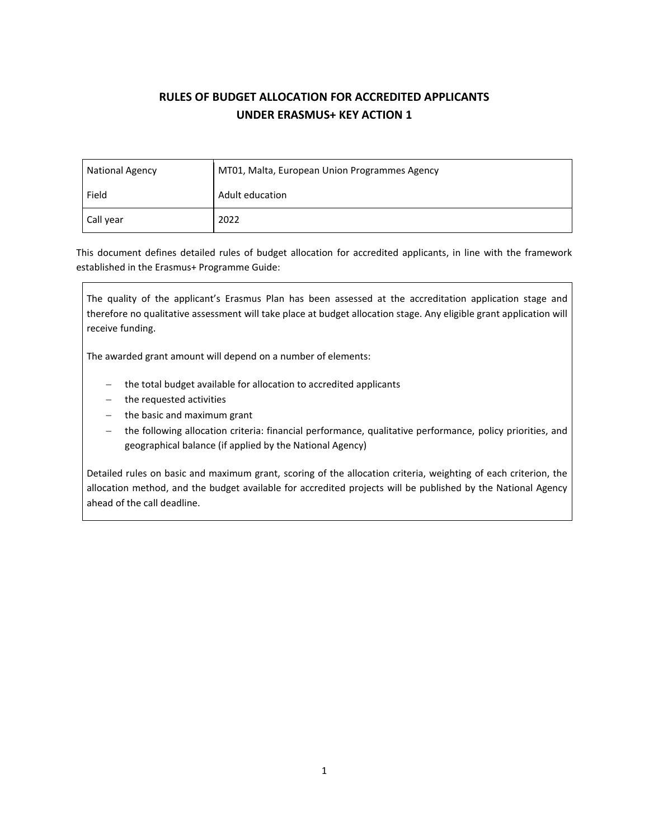# **RULES OF BUDGET ALLOCATION FOR ACCREDITED APPLICANTS UNDER ERASMUS+ KEY ACTION 1**

| <b>National Agency</b> | MT01, Malta, European Union Programmes Agency |  |
|------------------------|-----------------------------------------------|--|
| Field                  | Adult education                               |  |
| Call year              | 2022                                          |  |

This document defines detailed rules of budget allocation for accredited applicants, in line with the framework established in the Erasmus+ Programme Guide:

The quality of the applicant's Erasmus Plan has been assessed at the accreditation application stage and therefore no qualitative assessment will take place at budget allocation stage. Any eligible grant application will receive funding.

The awarded grant amount will depend on a number of elements:

- − the total budget available for allocation to accredited applicants
- − the requested activities
- − the basic and maximum grant
- the following allocation criteria: financial performance, qualitative performance, policy priorities, and geographical balance (if applied by the National Agency)

Detailed rules on basic and maximum grant, scoring of the allocation criteria, weighting of each criterion, the allocation method, and the budget available for accredited projects will be published by the National Agency ahead of the call deadline.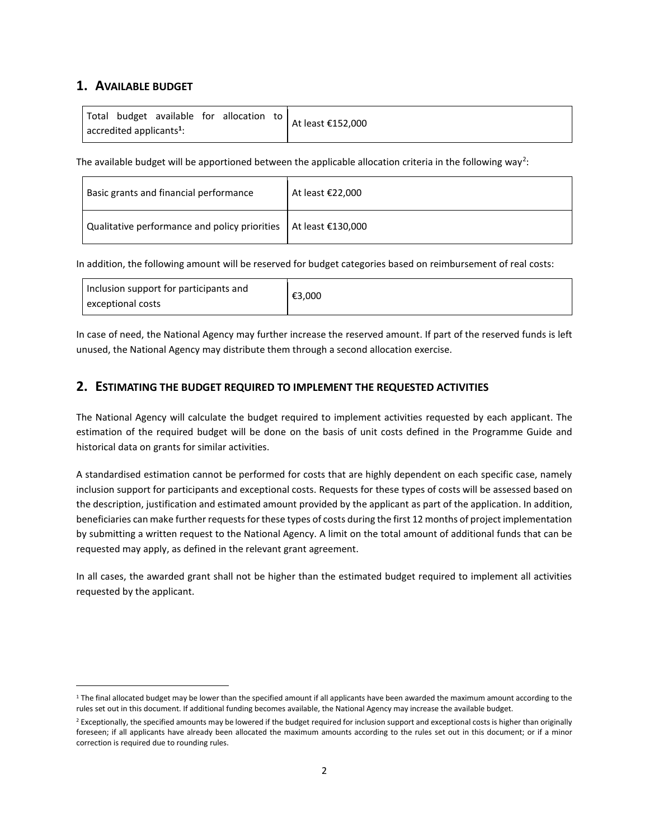# **1. AVAILABLE BUDGET**

The available budget will be apportioned between the applicable allocation criteria in the following way<sup>2</sup>:

| Basic grants and financial performance                              | At least $£22,000$ |
|---------------------------------------------------------------------|--------------------|
| Qualitative performance and policy priorities   At least $£130,000$ |                    |

In addition, the following amount will be reserved for budget categories based on reimbursement of real costs:

| Inclusion support for participants and<br>exceptional costs | €3,000 |
|-------------------------------------------------------------|--------|
|                                                             |        |

In case of need, the National Agency may further increase the reserved amount. If part of the reserved funds is left unused, the National Agency may distribute them through a second allocation exercise.

# **2. ESTIMATING THE BUDGET REQUIRED TO IMPLEMENT THE REQUESTED ACTIVITIES**

The National Agency will calculate the budget required to implement activities requested by each applicant. The estimation of the required budget will be done on the basis of unit costs defined in the Programme Guide and historical data on grants for similar activities.

A standardised estimation cannot be performed for costs that are highly dependent on each specific case, namely inclusion support for participants and exceptional costs. Requests for these types of costs will be assessed based on the description, justification and estimated amount provided by the applicant as part of the application. In addition, beneficiaries can make further requests for these types of costs during the first 12 months of project implementation by submitting a written request to the National Agency. A limit on the total amount of additional funds that can be requested may apply, as defined in the relevant grant agreement.

In all cases, the awarded grant shall not be higher than the estimated budget required to implement all activities requested by the applicant.

 $1$  The final allocated budget may be lower than the specified amount if all applicants have been awarded the maximum amount according to the rules set out in this document. If additional funding becomes available, the National Agency may increase the available budget.

<sup>&</sup>lt;sup>2</sup> Exceptionally, the specified amounts may be lowered if the budget required for inclusion support and exceptional costs is higher than originally foreseen; if all applicants have already been allocated the maximum amounts according to the rules set out in this document; or if a minor correction is required due to rounding rules.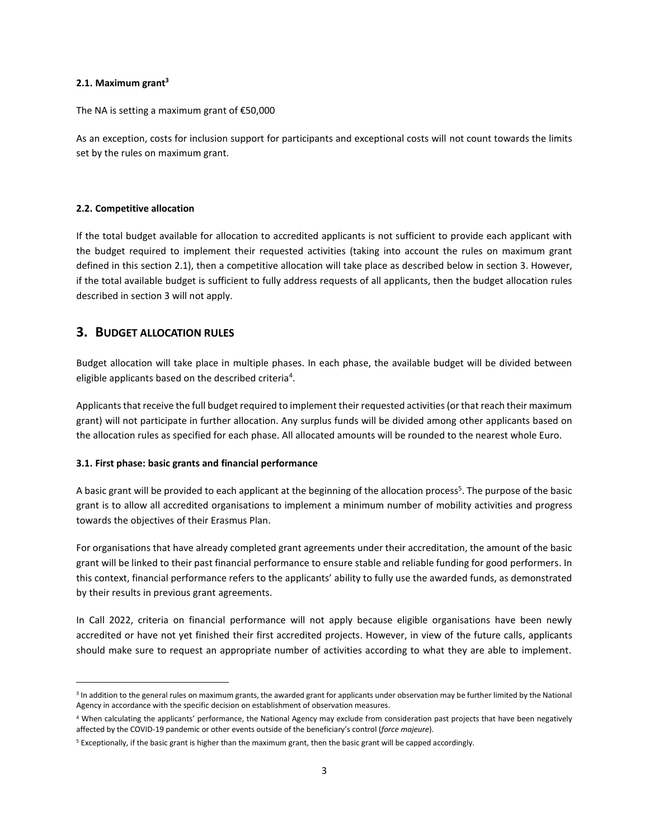#### **2.1. Maximum grant<sup>3</sup>**

The NA is setting a maximum grant of €50,000

As an exception, costs for inclusion support for participants and exceptional costs will not count towards the limits set by the rules on maximum grant.

#### **2.2. Competitive allocation**

If the total budget available for allocation to accredited applicants is not sufficient to provide each applicant with the budget required to implement their requested activities (taking into account the rules on maximum grant defined in this section 2.1), then a competitive allocation will take place as described below in section 3. However, if the total available budget is sufficient to fully address requests of all applicants, then the budget allocation rules described in section 3 will not apply.

# **3. BUDGET ALLOCATION RULES**

Budget allocation will take place in multiple phases. In each phase, the available budget will be divided between eligible applicants based on the described criteria<sup>4</sup>.

Applicants that receive the full budget required to implement their requested activities (or that reach their maximum grant) will not participate in further allocation. Any surplus funds will be divided among other applicants based on the allocation rules as specified for each phase. All allocated amounts will be rounded to the nearest whole Euro.

#### **3.1. First phase: basic grants and financial performance**

A basic grant will be provided to each applicant at the beginning of the allocation process<sup>5</sup>. The purpose of the basic grant is to allow all accredited organisations to implement a minimum number of mobility activities and progress towards the objectives of their Erasmus Plan.

For organisations that have already completed grant agreements under their accreditation, the amount of the basic grant will be linked to their past financial performance to ensure stable and reliable funding for good performers. In this context, financial performance refers to the applicants' ability to fully use the awarded funds, as demonstrated by their results in previous grant agreements.

In Call 2022, criteria on financial performance will not apply because eligible organisations have been newly accredited or have not yet finished their first accredited projects. However, in view of the future calls, applicants should make sure to request an appropriate number of activities according to what they are able to implement.

<sup>&</sup>lt;sup>3</sup> In addition to the general rules on maximum grants, the awarded grant for applicants under observation may be further limited by the National Agency in accordance with the specific decision on establishment of observation measures.

<sup>4</sup> When calculating the applicants' performance, the National Agency may exclude from consideration past projects that have been negatively affected by the COVID-19 pandemic or other events outside of the beneficiary's control (*force majeure*).

<sup>5</sup> Exceptionally, if the basic grant is higher than the maximum grant, then the basic grant will be capped accordingly.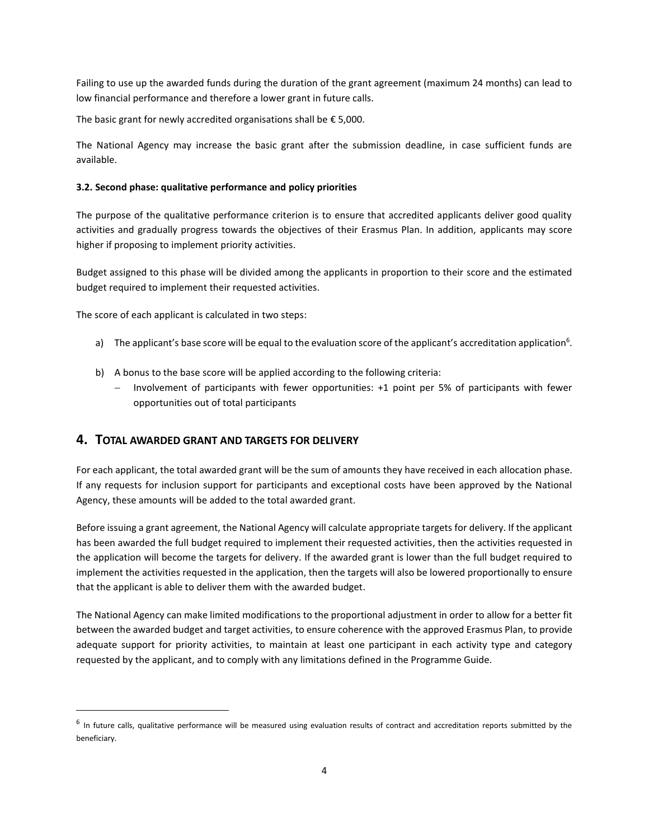Failing to use up the awarded funds during the duration of the grant agreement (maximum 24 months) can lead to low financial performance and therefore a lower grant in future calls.

The basic grant for newly accredited organisations shall be  $\epsilon$  5,000.

The National Agency may increase the basic grant after the submission deadline, in case sufficient funds are available.

### **3.2. Second phase: qualitative performance and policy priorities**

The purpose of the qualitative performance criterion is to ensure that accredited applicants deliver good quality activities and gradually progress towards the objectives of their Erasmus Plan. In addition, applicants may score higher if proposing to implement priority activities.

Budget assigned to this phase will be divided among the applicants in proportion to their score and the estimated budget required to implement their requested activities.

The score of each applicant is calculated in two steps:

- a) The applicant's base score will be equal to the evaluation score of the applicant's accreditation application<sup>6</sup>.
- b) A bonus to the base score will be applied according to the following criteria:
	- − Involvement of participants with fewer opportunities: +1 point per 5% of participants with fewer opportunities out of total participants

# **4. TOTAL AWARDED GRANT AND TARGETS FOR DELIVERY**

For each applicant, the total awarded grant will be the sum of amounts they have received in each allocation phase. If any requests for inclusion support for participants and exceptional costs have been approved by the National Agency, these amounts will be added to the total awarded grant.

Before issuing a grant agreement, the National Agency will calculate appropriate targets for delivery. If the applicant has been awarded the full budget required to implement their requested activities, then the activities requested in the application will become the targets for delivery. If the awarded grant is lower than the full budget required to implement the activities requested in the application, then the targets will also be lowered proportionally to ensure that the applicant is able to deliver them with the awarded budget.

The National Agency can make limited modifications to the proportional adjustment in order to allow for a better fit between the awarded budget and target activities, to ensure coherence with the approved Erasmus Plan, to provide adequate support for priority activities, to maintain at least one participant in each activity type and category requested by the applicant, and to comply with any limitations defined in the Programme Guide.

<sup>&</sup>lt;sup>6</sup> In future calls, qualitative performance will be measured using evaluation results of contract and accreditation reports submitted by the beneficiary.